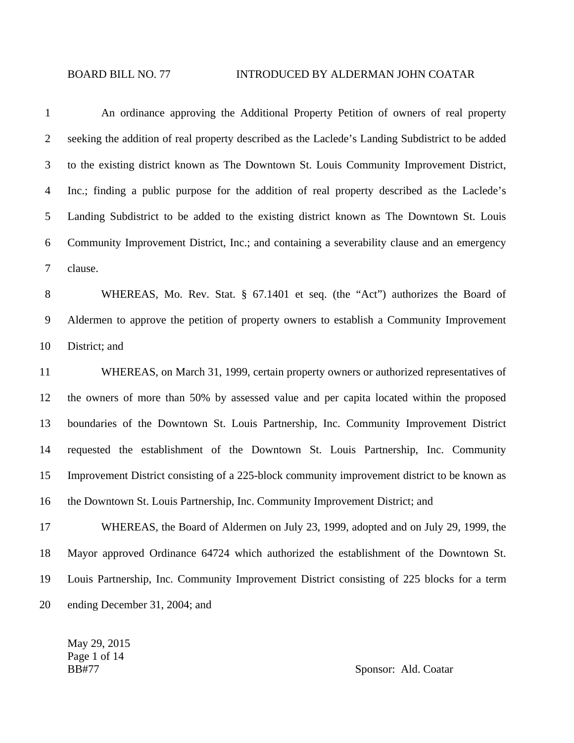1 An ordinance approving the Additional Property Petition of owners of real property 2 seeking the addition of real property described as the Laclede's Landing Subdistrict to be added 3 to the existing district known as The Downtown St. Louis Community Improvement District, 4 Inc.; finding a public purpose for the addition of real property described as the Laclede's 5 Landing Subdistrict to be added to the existing district known as The Downtown St. Louis 6 Community Improvement District, Inc.; and containing a severability clause and an emergency 7 clause. 8 WHEREAS, Mo. Rev. Stat. § 67.1401 et seq. (the "Act") authorizes the Board of 9 Aldermen to approve the petition of property owners to establish a Community Improvement 10 District; and 11 WHEREAS, on March 31, 1999, certain property owners or authorized representatives of 12 the owners of more than 50% by assessed value and per capita located within the proposed 13 boundaries of the Downtown St. Louis Partnership, Inc. Community Improvement District 14 requested the establishment of the Downtown St. Louis Partnership, Inc. Community 15 Improvement District consisting of a 225-block community improvement district to be known as 16 the Downtown St. Louis Partnership, Inc. Community Improvement District; and 17 WHEREAS, the Board of Aldermen on July 23, 1999, adopted and on July 29, 1999, the 18 Mayor approved Ordinance 64724 which authorized the establishment of the Downtown St. 19 Louis Partnership, Inc. Community Improvement District consisting of 225 blocks for a term 20 ending December 31, 2004; and

May 29, 2015 Page 1 of 14

BB#77 Sponsor: Ald. Coatar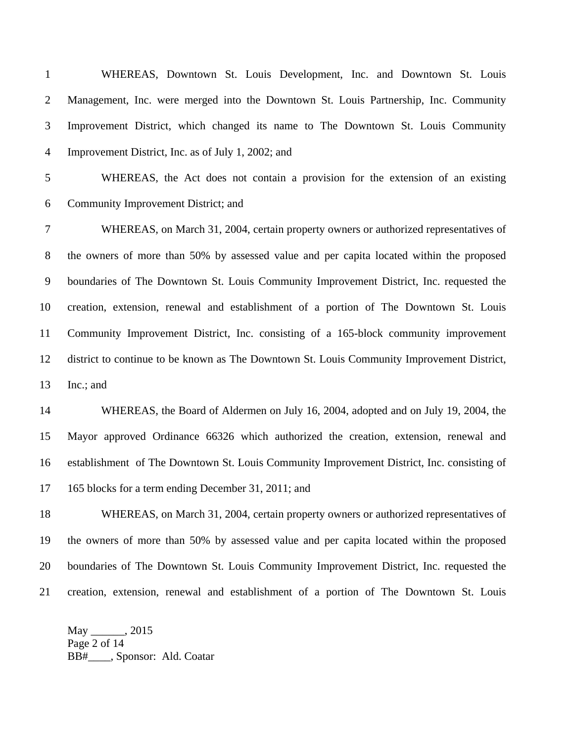1 WHEREAS, Downtown St. Louis Development, Inc. and Downtown St. Louis 2 Management, Inc. were merged into the Downtown St. Louis Partnership, Inc. Community 3 Improvement District, which changed its name to The Downtown St. Louis Community 4 Improvement District, Inc. as of July 1, 2002; and 5 WHEREAS, the Act does not contain a provision for the extension of an existing 6 Community Improvement District; and 7 WHEREAS, on March 31, 2004, certain property owners or authorized representatives of 8 the owners of more than 50% by assessed value and per capita located within the proposed 9 boundaries of The Downtown St. Louis Community Improvement District, Inc. requested the 10 creation, extension, renewal and establishment of a portion of The Downtown St. Louis 11 Community Improvement District, Inc. consisting of a 165-block community improvement 12 district to continue to be known as The Downtown St. Louis Community Improvement District, 13 Inc.; and 14 WHEREAS, the Board of Aldermen on July 16, 2004, adopted and on July 19, 2004, the 15 Mayor approved Ordinance 66326 which authorized the creation, extension, renewal and 16 establishment of The Downtown St. Louis Community Improvement District, Inc. consisting of 17 165 blocks for a term ending December 31, 2011; and 18 WHEREAS, on March 31, 2004, certain property owners or authorized representatives of 19 the owners of more than 50% by assessed value and per capita located within the proposed 20 boundaries of The Downtown St. Louis Community Improvement District, Inc. requested the

21 creation, extension, renewal and establishment of a portion of The Downtown St. Louis

May \_\_\_\_\_\_, 2015 Page 2 of 14 BB#\_\_\_\_, Sponsor: Ald. Coatar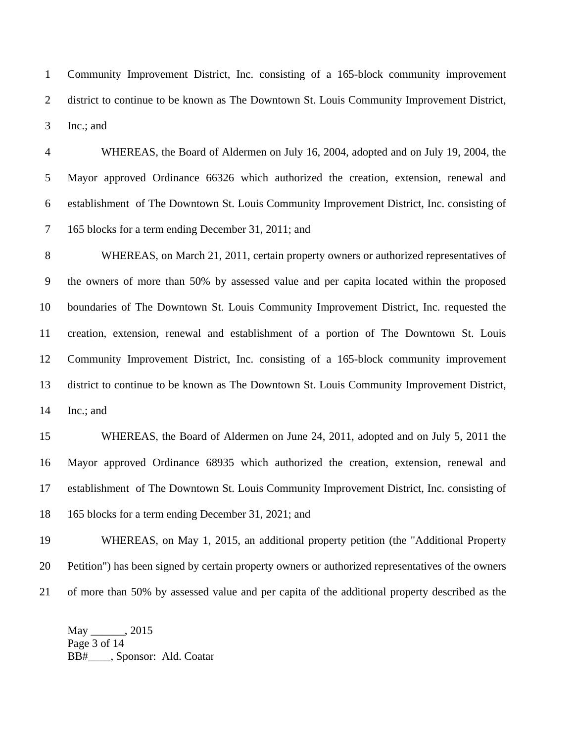1 Community Improvement District, Inc. consisting of a 165-block community improvement 2 district to continue to be known as The Downtown St. Louis Community Improvement District, 3 Inc.; and

4 WHEREAS, the Board of Aldermen on July 16, 2004, adopted and on July 19, 2004, the 5 Mayor approved Ordinance 66326 which authorized the creation, extension, renewal and 6 establishment of The Downtown St. Louis Community Improvement District, Inc. consisting of 7 165 blocks for a term ending December 31, 2011; and

8 WHEREAS, on March 21, 2011, certain property owners or authorized representatives of 9 the owners of more than 50% by assessed value and per capita located within the proposed 10 boundaries of The Downtown St. Louis Community Improvement District, Inc. requested the 11 creation, extension, renewal and establishment of a portion of The Downtown St. Louis 12 Community Improvement District, Inc. consisting of a 165-block community improvement 13 district to continue to be known as The Downtown St. Louis Community Improvement District, 14 Inc.; and

15 WHEREAS, the Board of Aldermen on June 24, 2011, adopted and on July 5, 2011 the 16 Mayor approved Ordinance 68935 which authorized the creation, extension, renewal and 17 establishment of The Downtown St. Louis Community Improvement District, Inc. consisting of 18 165 blocks for a term ending December 31, 2021; and

19 WHEREAS, on May 1, 2015, an additional property petition (the "Additional Property 20 Petition") has been signed by certain property owners or authorized representatives of the owners 21 of more than 50% by assessed value and per capita of the additional property described as the

May \_\_\_\_\_\_, 2015 Page 3 of 14 BB#\_\_\_\_, Sponsor: Ald. Coatar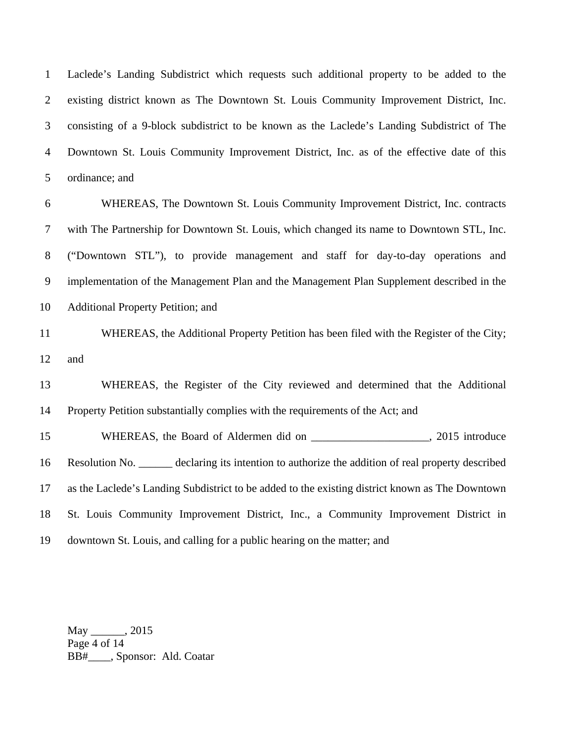1 Laclede's Landing Subdistrict which requests such additional property to be added to the 2 existing district known as The Downtown St. Louis Community Improvement District, Inc. 3 consisting of a 9-block subdistrict to be known as the Laclede's Landing Subdistrict of The 4 Downtown St. Louis Community Improvement District, Inc. as of the effective date of this 5 ordinance; and

6 WHEREAS, The Downtown St. Louis Community Improvement District, Inc. contracts 7 with The Partnership for Downtown St. Louis, which changed its name to Downtown STL, Inc. 8 ("Downtown STL"), to provide management and staff for day-to-day operations and 9 implementation of the Management Plan and the Management Plan Supplement described in the 10 Additional Property Petition; and

11 WHEREAS, the Additional Property Petition has been filed with the Register of the City; 12 and

13 WHEREAS, the Register of the City reviewed and determined that the Additional 14 Property Petition substantially complies with the requirements of the Act; and

15 WHEREAS, the Board of Aldermen did on \_\_\_\_\_\_\_\_\_\_\_\_\_\_\_\_\_\_\_\_\_, 2015 introduce 16 Resolution No. \_\_\_\_\_\_ declaring its intention to authorize the addition of real property described 17 as the Laclede's Landing Subdistrict to be added to the existing district known as The Downtown 18 St. Louis Community Improvement District, Inc., a Community Improvement District in 19 downtown St. Louis, and calling for a public hearing on the matter; and

May \_\_\_\_\_\_, 2015 Page 4 of 14 BB#\_\_\_\_, Sponsor: Ald. Coatar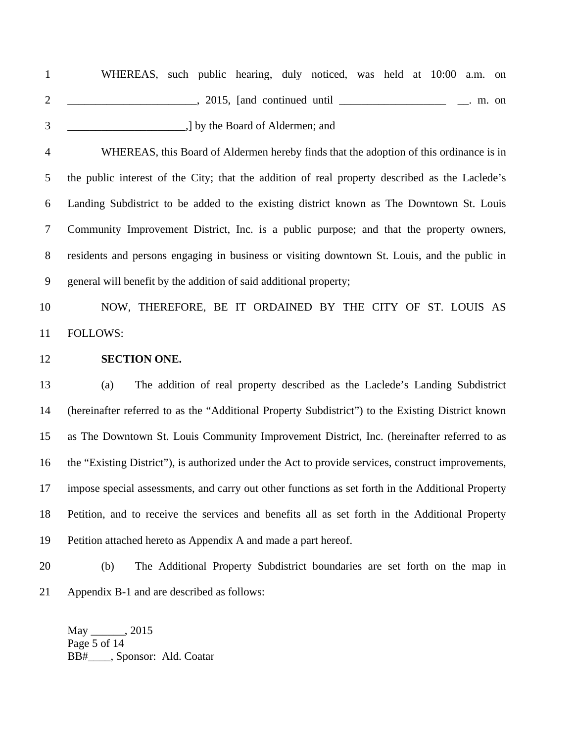| WHEREAS, such public hearing, duly noticed, was held at 10:00 a.m. on |  |                                 |  |  |  |       |
|-----------------------------------------------------------------------|--|---------------------------------|--|--|--|-------|
|                                                                       |  | 2015, [and continued until      |  |  |  | m. on |
|                                                                       |  | I by the Board of Aldermen; and |  |  |  |       |

4 WHEREAS, this Board of Aldermen hereby finds that the adoption of this ordinance is in 5 the public interest of the City; that the addition of real property described as the Laclede's 6 Landing Subdistrict to be added to the existing district known as The Downtown St. Louis 7 Community Improvement District, Inc. is a public purpose; and that the property owners, 8 residents and persons engaging in business or visiting downtown St. Louis, and the public in 9 general will benefit by the addition of said additional property;

10 NOW, THEREFORE, BE IT ORDAINED BY THE CITY OF ST. LOUIS AS 11 FOLLOWS:

12 **SECTION ONE.**

13 (a) The addition of real property described as the Laclede's Landing Subdistrict 14 (hereinafter referred to as the "Additional Property Subdistrict") to the Existing District known 15 as The Downtown St. Louis Community Improvement District, Inc. (hereinafter referred to as 16 the "Existing District"), is authorized under the Act to provide services, construct improvements, 17 impose special assessments, and carry out other functions as set forth in the Additional Property 18 Petition, and to receive the services and benefits all as set forth in the Additional Property 19 Petition attached hereto as Appendix A and made a part hereof.

20 (b) The Additional Property Subdistrict boundaries are set forth on the map in 21 Appendix B-1 and are described as follows:

May .2015 Page 5 of 14 BB#\_\_\_\_, Sponsor: Ald. Coatar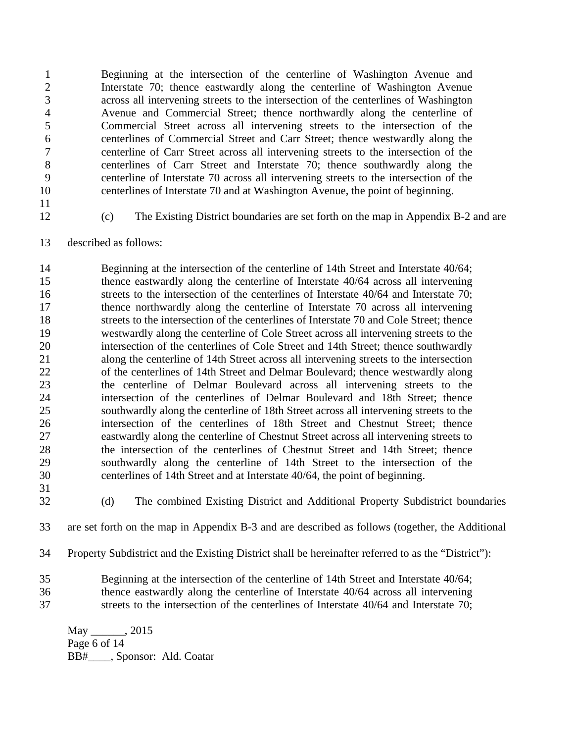1 Beginning at the intersection of the centerline of Washington Avenue and 2 Interstate 70; thence eastwardly along the centerline of Washington Avenue 3 across all intervening streets to the intersection of the centerlines of Washington 4 Avenue and Commercial Street; thence northwardly along the centerline of 5 Commercial Street across all intervening streets to the intersection of the 6 centerlines of Commercial Street and Carr Street; thence westwardly along the 7 centerline of Carr Street across all intervening streets to the intersection of the 8 centerlines of Carr Street and Interstate 70; thence southwardly along the 9 centerline of Interstate 70 across all intervening streets to the intersection of the 10 centerlines of Interstate 70 and at Washington Avenue, the point of beginning.

11

12 (c) The Existing District boundaries are set forth on the map in Appendix B-2 and are

13 described as follows:

14 Beginning at the intersection of the centerline of 14th Street and Interstate 40/64; 15 thence eastwardly along the centerline of Interstate 40/64 across all intervening 16 streets to the intersection of the centerlines of Interstate 40/64 and Interstate 70; 17 thence northwardly along the centerline of Interstate 70 across all intervening 18 streets to the intersection of the centerlines of Interstate 70 and Cole Street; thence 19 westwardly along the centerline of Cole Street across all intervening streets to the 20 intersection of the centerlines of Cole Street and 14th Street; thence southwardly 21 along the centerline of 14th Street across all intervening streets to the intersection 22 of the centerlines of 14th Street and Delmar Boulevard; thence westwardly along 23 the centerline of Delmar Boulevard across all intervening streets to the 24 intersection of the centerlines of Delmar Boulevard and 18th Street; thence 25 southwardly along the centerline of 18th Street across all intervening streets to the 26 intersection of the centerlines of 18th Street and Chestnut Street; thence 27 eastwardly along the centerline of Chestnut Street across all intervening streets to 28 the intersection of the centerlines of Chestnut Street and 14th Street; thence 29 southwardly along the centerline of 14th Street to the intersection of the 30 centerlines of 14th Street and at Interstate 40/64, the point of beginning.

31

32 (d) The combined Existing District and Additional Property Subdistrict boundaries

33 are set forth on the map in Appendix B-3 and are described as follows (together, the Additional

- 34 Property Subdistrict and the Existing District shall be hereinafter referred to as the "District"):
- 35 Beginning at the intersection of the centerline of 14th Street and Interstate 40/64; 36 thence eastwardly along the centerline of Interstate 40/64 across all intervening
- 37 streets to the intersection of the centerlines of Interstate 40/64 and Interstate 70;

May 1, 2015 Page 6 of 14 BB#\_\_\_\_, Sponsor: Ald. Coatar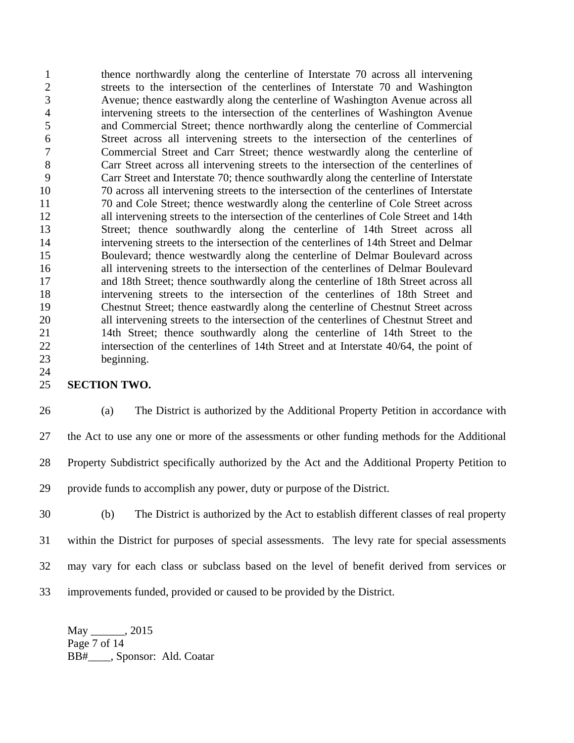1 thence northwardly along the centerline of Interstate 70 across all intervening 2 streets to the intersection of the centerlines of Interstate 70 and Washington 3 Avenue; thence eastwardly along the centerline of Washington Avenue across all 4 intervening streets to the intersection of the centerlines of Washington Avenue 5 and Commercial Street; thence northwardly along the centerline of Commercial 6 Street across all intervening streets to the intersection of the centerlines of 7 Commercial Street and Carr Street; thence westwardly along the centerline of 8 Carr Street across all intervening streets to the intersection of the centerlines of 9 Carr Street and Interstate 70; thence southwardly along the centerline of Interstate 10 70 across all intervening streets to the intersection of the centerlines of Interstate 11 70 and Cole Street; thence westwardly along the centerline of Cole Street across 12 all intervening streets to the intersection of the centerlines of Cole Street and 14th 13 Street; thence southwardly along the centerline of 14th Street across all 14 intervening streets to the intersection of the centerlines of 14th Street and Delmar 15 Boulevard; thence westwardly along the centerline of Delmar Boulevard across 16 all intervening streets to the intersection of the centerlines of Delmar Boulevard 17 and 18th Street; thence southwardly along the centerline of 18th Street across all 18 intervening streets to the intersection of the centerlines of 18th Street and 19 Chestnut Street; thence eastwardly along the centerline of Chestnut Street across 20 all intervening streets to the intersection of the centerlines of Chestnut Street and 21 14th Street; thence southwardly along the centerline of 14th Street to the 22 intersection of the centerlines of 14th Street and at Interstate 40/64, the point of 23 beginning.

## 25 **SECTION TWO.**

24

26 (a) The District is authorized by the Additional Property Petition in accordance with 27 the Act to use any one or more of the assessments or other funding methods for the Additional 28 Property Subdistrict specifically authorized by the Act and the Additional Property Petition to 29 provide funds to accomplish any power, duty or purpose of the District.

30 (b) The District is authorized by the Act to establish different classes of real property 31 within the District for purposes of special assessments. The levy rate for special assessments 32 may vary for each class or subclass based on the level of benefit derived from services or 33 improvements funded, provided or caused to be provided by the District.

May .2015 Page 7 of 14 BB#\_\_\_\_, Sponsor: Ald. Coatar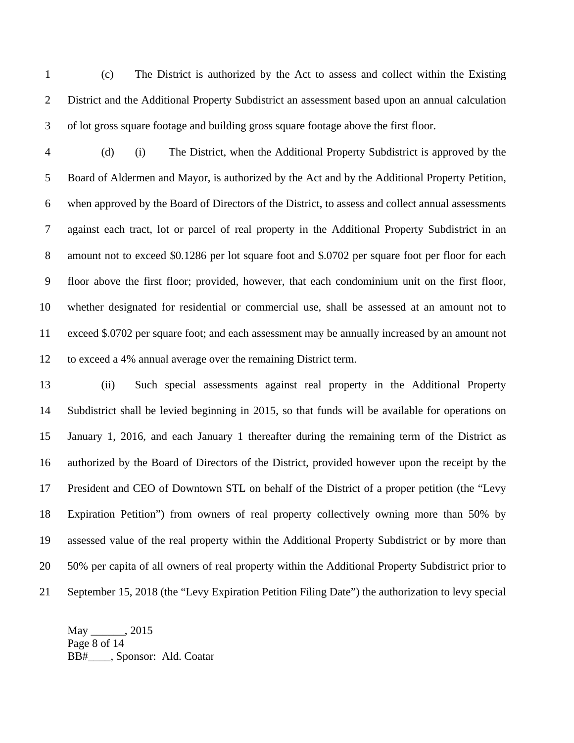1 (c) The District is authorized by the Act to assess and collect within the Existing 2 District and the Additional Property Subdistrict an assessment based upon an annual calculation 3 of lot gross square footage and building gross square footage above the first floor.

4 (d) (i) The District, when the Additional Property Subdistrict is approved by the 5 Board of Aldermen and Mayor, is authorized by the Act and by the Additional Property Petition, 6 when approved by the Board of Directors of the District, to assess and collect annual assessments 7 against each tract, lot or parcel of real property in the Additional Property Subdistrict in an 8 amount not to exceed \$0.1286 per lot square foot and \$.0702 per square foot per floor for each 9 floor above the first floor; provided, however, that each condominium unit on the first floor, 10 whether designated for residential or commercial use, shall be assessed at an amount not to 11 exceed \$.0702 per square foot; and each assessment may be annually increased by an amount not 12 to exceed a 4% annual average over the remaining District term.

13 (ii) Such special assessments against real property in the Additional Property 14 Subdistrict shall be levied beginning in 2015, so that funds will be available for operations on 15 January 1, 2016, and each January 1 thereafter during the remaining term of the District as 16 authorized by the Board of Directors of the District, provided however upon the receipt by the 17 President and CEO of Downtown STL on behalf of the District of a proper petition (the "Levy 18 Expiration Petition") from owners of real property collectively owning more than 50% by 19 assessed value of the real property within the Additional Property Subdistrict or by more than 20 50% per capita of all owners of real property within the Additional Property Subdistrict prior to 21 September 15, 2018 (the "Levy Expiration Petition Filing Date") the authorization to levy special

May \_\_\_\_\_\_, 2015 Page 8 of 14 BB#\_\_\_\_, Sponsor: Ald. Coatar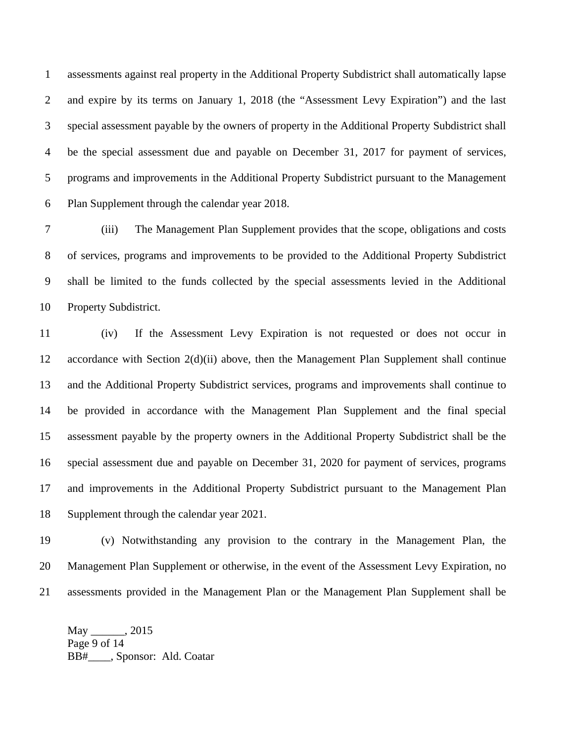1 assessments against real property in the Additional Property Subdistrict shall automatically lapse 2 and expire by its terms on January 1, 2018 (the "Assessment Levy Expiration") and the last 3 special assessment payable by the owners of property in the Additional Property Subdistrict shall 4 be the special assessment due and payable on December 31, 2017 for payment of services, 5 programs and improvements in the Additional Property Subdistrict pursuant to the Management 6 Plan Supplement through the calendar year 2018.

7 (iii) The Management Plan Supplement provides that the scope, obligations and costs 8 of services, programs and improvements to be provided to the Additional Property Subdistrict 9 shall be limited to the funds collected by the special assessments levied in the Additional 10 Property Subdistrict.

11 (iv) If the Assessment Levy Expiration is not requested or does not occur in 12 accordance with Section 2(d)(ii) above, then the Management Plan Supplement shall continue 13 and the Additional Property Subdistrict services, programs and improvements shall continue to 14 be provided in accordance with the Management Plan Supplement and the final special 15 assessment payable by the property owners in the Additional Property Subdistrict shall be the 16 special assessment due and payable on December 31, 2020 for payment of services, programs 17 and improvements in the Additional Property Subdistrict pursuant to the Management Plan 18 Supplement through the calendar year 2021.

19 (v) Notwithstanding any provision to the contrary in the Management Plan, the 20 Management Plan Supplement or otherwise, in the event of the Assessment Levy Expiration, no 21 assessments provided in the Management Plan or the Management Plan Supplement shall be

May \_\_\_\_\_\_, 2015 Page 9 of 14 BB#\_\_\_\_, Sponsor: Ald. Coatar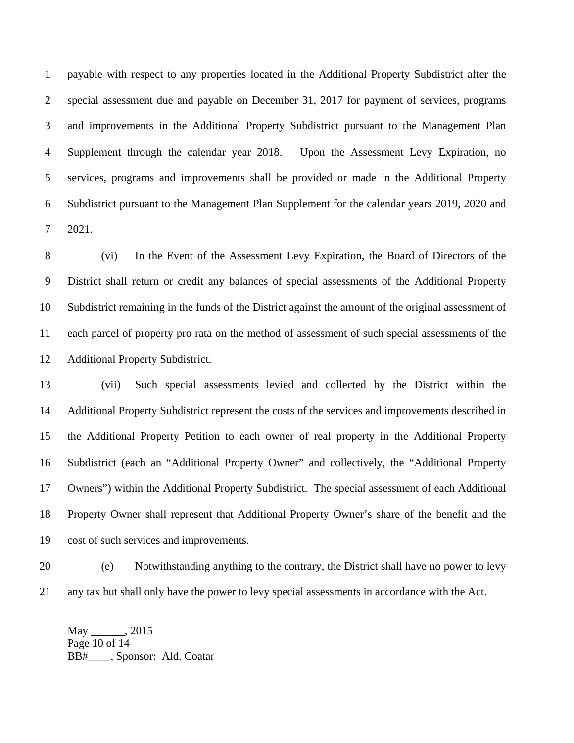1 payable with respect to any properties located in the Additional Property Subdistrict after the 2 special assessment due and payable on December 31, 2017 for payment of services, programs 3 and improvements in the Additional Property Subdistrict pursuant to the Management Plan 4 Supplement through the calendar year 2018. Upon the Assessment Levy Expiration, no 5 services, programs and improvements shall be provided or made in the Additional Property 6 Subdistrict pursuant to the Management Plan Supplement for the calendar years 2019, 2020 and 7 2021.

8 (vi) In the Event of the Assessment Levy Expiration, the Board of Directors of the 9 District shall return or credit any balances of special assessments of the Additional Property 10 Subdistrict remaining in the funds of the District against the amount of the original assessment of 11 each parcel of property pro rata on the method of assessment of such special assessments of the 12 Additional Property Subdistrict.

13 (vii) Such special assessments levied and collected by the District within the 14 Additional Property Subdistrict represent the costs of the services and improvements described in 15 the Additional Property Petition to each owner of real property in the Additional Property 16 Subdistrict (each an "Additional Property Owner" and collectively, the "Additional Property 17 Owners") within the Additional Property Subdistrict. The special assessment of each Additional 18 Property Owner shall represent that Additional Property Owner's share of the benefit and the 19 cost of such services and improvements.

20 (e) Notwithstanding anything to the contrary, the District shall have no power to levy 21 any tax but shall only have the power to levy special assessments in accordance with the Act.

May \_\_\_\_\_\_, 2015 Page 10 of 14 BB#\_\_\_\_, Sponsor: Ald. Coatar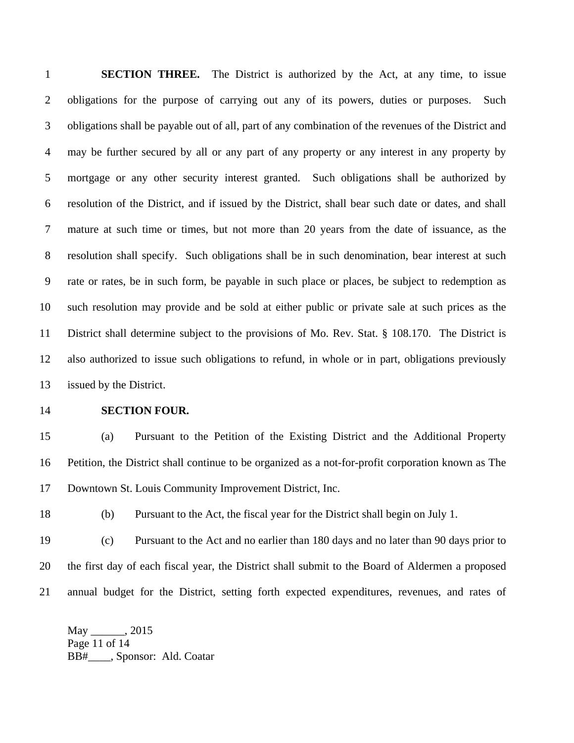1 **SECTION THREE.** The District is authorized by the Act, at any time, to issue 2 obligations for the purpose of carrying out any of its powers, duties or purposes. Such 3 obligations shall be payable out of all, part of any combination of the revenues of the District and 4 may be further secured by all or any part of any property or any interest in any property by 5 mortgage or any other security interest granted. Such obligations shall be authorized by 6 resolution of the District, and if issued by the District, shall bear such date or dates, and shall 7 mature at such time or times, but not more than 20 years from the date of issuance, as the 8 resolution shall specify. Such obligations shall be in such denomination, bear interest at such 9 rate or rates, be in such form, be payable in such place or places, be subject to redemption as 10 such resolution may provide and be sold at either public or private sale at such prices as the 11 District shall determine subject to the provisions of Mo. Rev. Stat. § 108.170. The District is 12 also authorized to issue such obligations to refund, in whole or in part, obligations previously 13 issued by the District.

## 14 **SECTION FOUR.**

15 (a) Pursuant to the Petition of the Existing District and the Additional Property 16 Petition, the District shall continue to be organized as a not-for-profit corporation known as The 17 Downtown St. Louis Community Improvement District, Inc.

18 (b) Pursuant to the Act, the fiscal year for the District shall begin on July 1.

19 (c) Pursuant to the Act and no earlier than 180 days and no later than 90 days prior to 20 the first day of each fiscal year, the District shall submit to the Board of Aldermen a proposed 21 annual budget for the District, setting forth expected expenditures, revenues, and rates of

May \_\_\_\_\_\_, 2015 Page 11 of 14 BB#\_\_\_\_, Sponsor: Ald. Coatar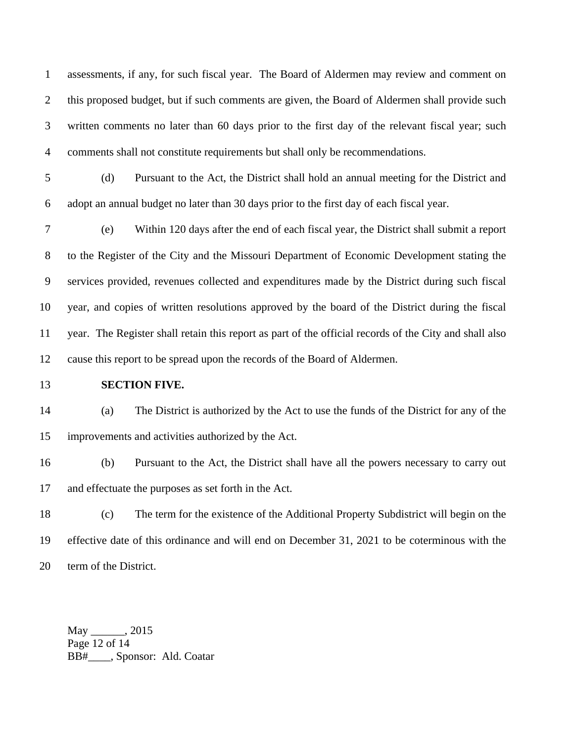1 assessments, if any, for such fiscal year. The Board of Aldermen may review and comment on 2 this proposed budget, but if such comments are given, the Board of Aldermen shall provide such 3 written comments no later than 60 days prior to the first day of the relevant fiscal year; such 4 comments shall not constitute requirements but shall only be recommendations.

5 (d) Pursuant to the Act, the District shall hold an annual meeting for the District and 6 adopt an annual budget no later than 30 days prior to the first day of each fiscal year.

7 (e) Within 120 days after the end of each fiscal year, the District shall submit a report 8 to the Register of the City and the Missouri Department of Economic Development stating the 9 services provided, revenues collected and expenditures made by the District during such fiscal 10 year, and copies of written resolutions approved by the board of the District during the fiscal 11 year. The Register shall retain this report as part of the official records of the City and shall also 12 cause this report to be spread upon the records of the Board of Aldermen.

## 13 **SECTION FIVE.**

14 (a) The District is authorized by the Act to use the funds of the District for any of the 15 improvements and activities authorized by the Act.

16 (b) Pursuant to the Act, the District shall have all the powers necessary to carry out 17 and effectuate the purposes as set forth in the Act.

18 (c) The term for the existence of the Additional Property Subdistrict will begin on the 19 effective date of this ordinance and will end on December 31, 2021 to be coterminous with the 20 term of the District.

May 1, 2015 Page 12 of 14 BB#\_\_\_\_, Sponsor: Ald. Coatar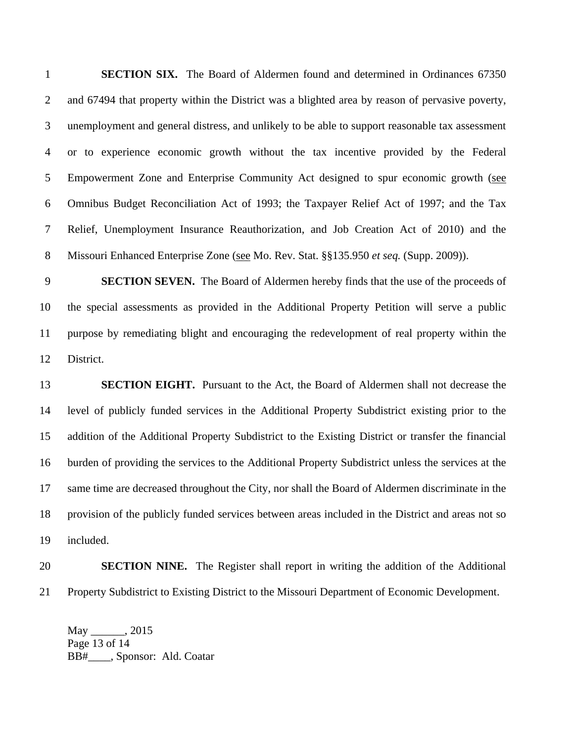1 **SECTION SIX.** The Board of Aldermen found and determined in Ordinances 67350 2 and 67494 that property within the District was a blighted area by reason of pervasive poverty, 3 unemployment and general distress, and unlikely to be able to support reasonable tax assessment 4 or to experience economic growth without the tax incentive provided by the Federal 5 Empowerment Zone and Enterprise Community Act designed to spur economic growth (see 6 Omnibus Budget Reconciliation Act of 1993; the Taxpayer Relief Act of 1997; and the Tax 7 Relief, Unemployment Insurance Reauthorization, and Job Creation Act of 2010) and the 8 Missouri Enhanced Enterprise Zone (see Mo. Rev. Stat. §§135.950 *et seq.* (Supp. 2009)).

9 **SECTION SEVEN.** The Board of Aldermen hereby finds that the use of the proceeds of 10 the special assessments as provided in the Additional Property Petition will serve a public 11 purpose by remediating blight and encouraging the redevelopment of real property within the 12 District.

13 **SECTION EIGHT.** Pursuant to the Act, the Board of Aldermen shall not decrease the 14 level of publicly funded services in the Additional Property Subdistrict existing prior to the 15 addition of the Additional Property Subdistrict to the Existing District or transfer the financial 16 burden of providing the services to the Additional Property Subdistrict unless the services at the 17 same time are decreased throughout the City, nor shall the Board of Aldermen discriminate in the 18 provision of the publicly funded services between areas included in the District and areas not so 19 included.

## 20 **SECTION NINE.** The Register shall report in writing the addition of the Additional 21 Property Subdistrict to Existing District to the Missouri Department of Economic Development.

May \_\_\_\_\_\_, 2015 Page 13 of 14 BB#\_\_\_\_, Sponsor: Ald. Coatar